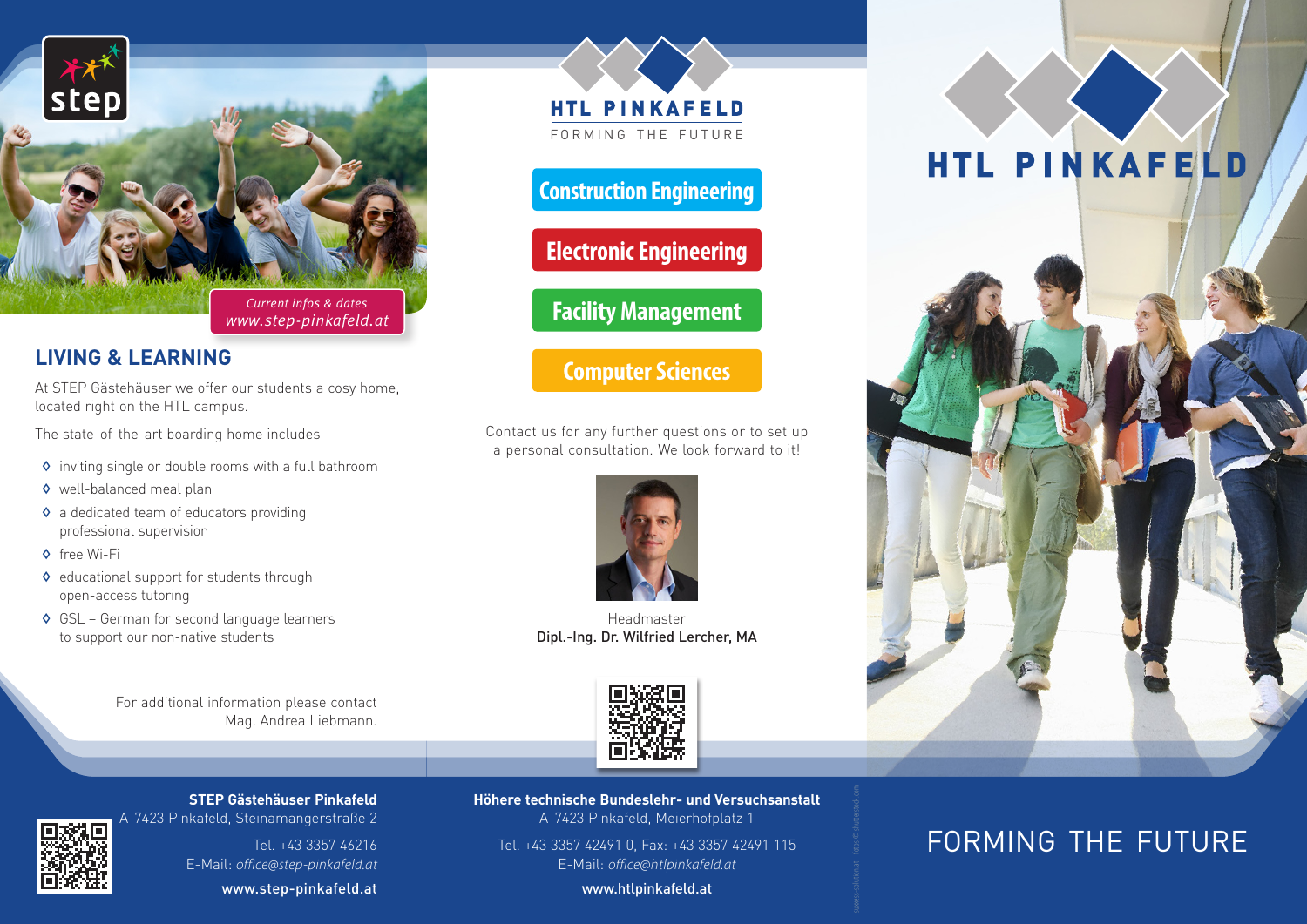

## **LIVING & LEARNING**

At STEP Gästehäuser we offer our students a cosy home, located right on the HTL campus.

The state-of-the-art boarding home includes

- ◊ inviting single or double rooms with a full bathroom
- ◊ well-balanced meal plan
- ◊ a dedicated team of educators providing professional supervision
- ◊ free Wi-Fi
- ◊ educational support for students through open-access tutoring
- ◊ GSL German for second language learners to support our non-native students

For additional information please contact Mag. Andrea Liebmann. **HTL PINKAFELD** FORMING THE FUTURE

# **Construction Engineering**

**Electronic Engineering**

**Facility Management**

# **Computer Sciences**

Contact us for any further questions or to set up a personal consultation. We look forward to it!



Headmaster Dipl.-Ing. Dr. Wilfried Lercher, MA



**STEP Gästehäuser Pinkafeld** A-7423 Pinkafeld, Steinamangerstraße 2



Tel. +43 3357 46216 E-Mail: *office@step-pinkafeld.at*

www.step-pinkafeld.at

**Höhere technische Bundeslehr- und Versuchsanstalt** A-7423 Pinkafeld, Meierhofplatz 1

Tel. +43 3357 42491 0, Fax: +43 3357 42491 115 E-Mail: *office@htlpinkafeld.at*

www.htlpinkafeld.at

# HTL PINKAFELD



# FORMING THE FUTURE